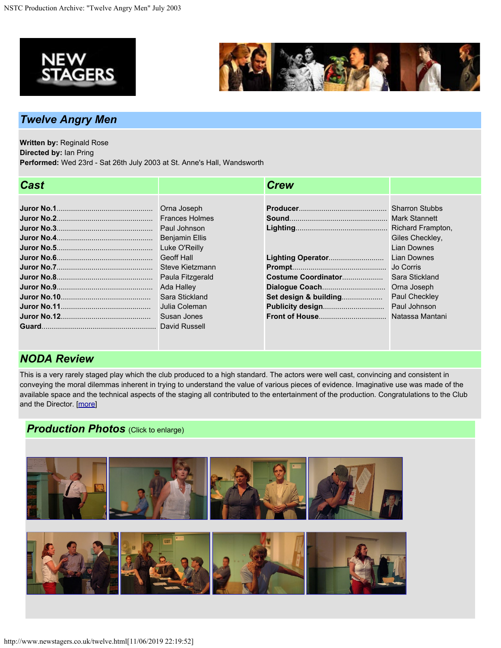



## *Twelve Angry Men*

**Written by:** Reginald Rose **Directed by:** Ian Pring **Performed:** Wed 23rd - Sat 26th July 2003 at St. Anne's Hall, Wandsworth

| <b>Cast</b> |                       | <b>Crew</b>           |                    |
|-------------|-----------------------|-----------------------|--------------------|
|             |                       |                       |                    |
|             | Orna Joseph           |                       |                    |
|             | <b>Frances Holmes</b> |                       |                    |
|             | Paul Johnson          |                       |                    |
|             | <b>Benjamin Ellis</b> |                       | Giles Checkley,    |
|             | Luke O'Reilly         |                       | <b>Lian Downes</b> |
|             | Geoff Hall            |                       | <b>Lian Downes</b> |
|             | Steve Kietzmann       |                       |                    |
|             | Paula Fitzgerald      | Costume Coordinator   | Sara Stickland     |
|             | Ada Halley            |                       |                    |
|             | Sara Stickland        | Set design & building | Paul Checkley      |
|             | Julia Coleman         |                       |                    |
|             | Susan Jones           |                       |                    |
|             |                       |                       |                    |

## *NODA Review*

This is a very rarely staged play which the club produced to a high standard. The actors were well cast, convincing and consistent in conveying the moral dilemmas inherent in trying to understand the value of various pieces of evidence. Imaginative use was made of the available space and the technical aspects of the staging all contributed to the entertainment of the production. Congratulations to the Club and the Director. [[more](http://www.newstagers.co.uk/twelvereview.html)]

## *Production Photos* (Click to enlarge)